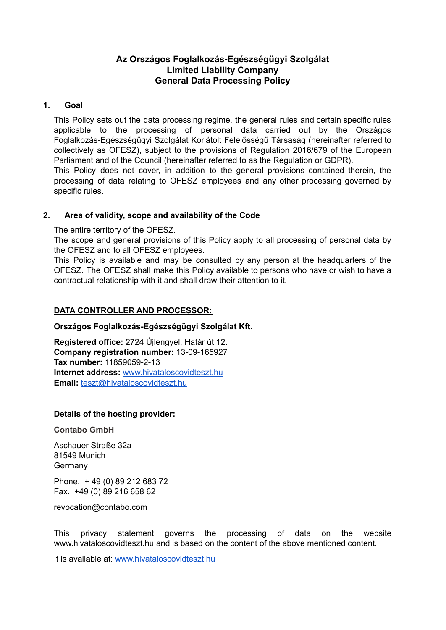# **Az Országos Foglalkozás-Egészségügyi Szolgálat Limited Liability Company General Data Processing Policy**

### **1. Goal**

This Policy sets out the data processing regime, the general rules and certain specific rules applicable to the processing of personal data carried out by the Országos Foglalkozás-Egészségügyi Szolgálat Korlátolt Felelősségű Társaság (hereinafter referred to collectively as OFESZ), subject to the provisions of Regulation 2016/679 of the European Parliament and of the Council (hereinafter referred to as the Regulation or GDPR).

This Policy does not cover, in addition to the general provisions contained therein, the processing of data relating to OFESZ employees and any other processing governed by specific rules.

### **2. Area of validity, scope and availability of the Code**

The entire territory of the OFESZ.

The scope and general provisions of this Policy apply to all processing of personal data by the OFESZ and to all OFESZ employees.

This Policy is available and may be consulted by any person at the headquarters of the OFESZ. The OFESZ shall make this Policy available to persons who have or wish to have a contractual relationship with it and shall draw their attention to it.

## **DATA CONTROLLER AND PROCESSOR:**

### **Országos Foglalkozás-Egészségügyi Szolgálat Kft.**

**Registered office:** 2724 Újlengyel, Határ út 12. **Company registration number:** 13-09-165927 **Tax number:** 11859059-2-13 **Internet address:** [www.hivataloscovidteszt.hu](http://www.hivataloscovidteszt.hu) **Email:** [teszt@hivataloscovidteszt.hu](mailto:teszt@hivataloscovidteszt.hu)

### **Details of the hosting provider:**

**Contabo GmbH**

Aschauer Straße 32a 81549 Munich Germany

Phone.: + 49 (0) 89 212 683 72 Fax.: +49 (0) 89 216 658 62

revocation@contabo.com

This privacy statement governs the processing of data on the website www.hivataloscovidteszt.hu and is based on the content of the above mentioned content.

It is available at: [www.hivataloscovidteszt.hu](http://www.hivataloscovidteszt.hu)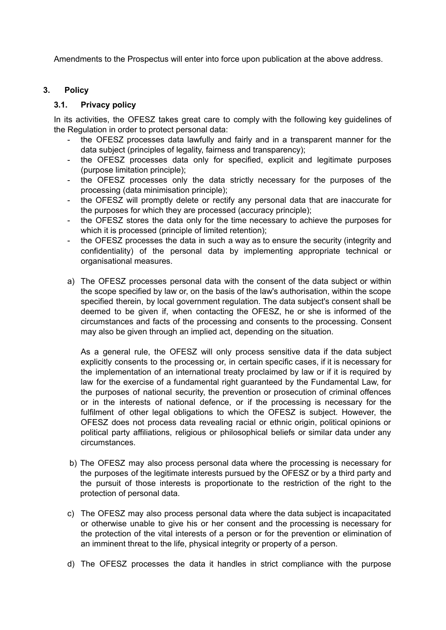Amendments to the Prospectus will enter into force upon publication at the above address.

# **3. Policy**

## **3.1. Privacy policy**

In its activities, the OFESZ takes great care to comply with the following key guidelines of the Regulation in order to protect personal data:

- the OFESZ processes data lawfully and fairly and in a transparent manner for the data subject (principles of legality, fairness and transparency);
- the OFESZ processes data only for specified, explicit and legitimate purposes (purpose limitation principle);
- the OFESZ processes only the data strictly necessary for the purposes of the processing (data minimisation principle);
- the OFESZ will promptly delete or rectify any personal data that are inaccurate for the purposes for which they are processed (accuracy principle);
- the OFESZ stores the data only for the time necessary to achieve the purposes for which it is processed (principle of limited retention);
- the OFESZ processes the data in such a way as to ensure the security (integrity and confidentiality) of the personal data by implementing appropriate technical or organisational measures.
- a) The OFESZ processes personal data with the consent of the data subject or within the scope specified by law or, on the basis of the law's authorisation, within the scope specified therein, by local government regulation. The data subject's consent shall be deemed to be given if, when contacting the OFESZ, he or she is informed of the circumstances and facts of the processing and consents to the processing. Consent may also be given through an implied act, depending on the situation.

As a general rule, the OFESZ will only process sensitive data if the data subject explicitly consents to the processing or, in certain specific cases, if it is necessary for the implementation of an international treaty proclaimed by law or if it is required by law for the exercise of a fundamental right guaranteed by the Fundamental Law, for the purposes of national security, the prevention or prosecution of criminal offences or in the interests of national defence, or if the processing is necessary for the fulfilment of other legal obligations to which the OFESZ is subject. However, the OFESZ does not process data revealing racial or ethnic origin, political opinions or political party affiliations, religious or philosophical beliefs or similar data under any circumstances.

- b) The OFESZ may also process personal data where the processing is necessary for the purposes of the legitimate interests pursued by the OFESZ or by a third party and the pursuit of those interests is proportionate to the restriction of the right to the protection of personal data.
- c) The OFESZ may also process personal data where the data subject is incapacitated or otherwise unable to give his or her consent and the processing is necessary for the protection of the vital interests of a person or for the prevention or elimination of an imminent threat to the life, physical integrity or property of a person.
- d) The OFESZ processes the data it handles in strict compliance with the purpose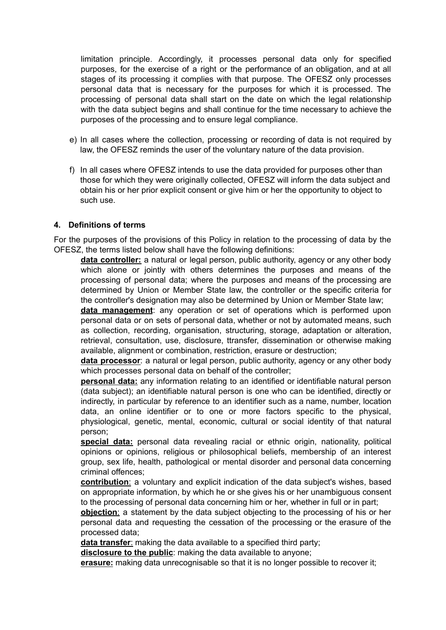limitation principle. Accordingly, it processes personal data only for specified purposes, for the exercise of a right or the performance of an obligation, and at all stages of its processing it complies with that purpose. The OFESZ only processes personal data that is necessary for the purposes for which it is processed. The processing of personal data shall start on the date on which the legal relationship with the data subject begins and shall continue for the time necessary to achieve the purposes of the processing and to ensure legal compliance.

- e) In all cases where the collection, processing or recording of data is not required by law, the OFESZ reminds the user of the voluntary nature of the data provision.
- f) In all cases where OFESZ intends to use the data provided for purposes other than those for which they were originally collected, OFESZ will inform the data subject and obtain his or her prior explicit consent or give him or her the opportunity to object to such use.

#### **4. Definitions of terms**

For the purposes of the provisions of this Policy in relation to the processing of data by the OFESZ, the terms listed below shall have the following definitions:

**data controller:** a natural or legal person, public authority, agency or any other body which alone or jointly with others determines the purposes and means of the processing of personal data; where the purposes and means of the processing are determined by Union or Member State law, the controller or the specific criteria for the controller's designation may also be determined by Union or Member State law;

**data management**: any operation or set of operations which is performed upon personal data or on sets of personal data, whether or not by automated means, such as collection, recording, organisation, structuring, storage, adaptation or alteration, retrieval, consultation, use, disclosure, ttransfer, dissemination or otherwise making available, alignment or combination, restriction, erasure or destruction;

**data processor**: a natural or legal person, public authority, agency or any other body which processes personal data on behalf of the controller;

**personal data:** any information relating to an identified or identifiable natural person (data subject); an identifiable natural person is one who can be identified, directly or indirectly, in particular by reference to an identifier such as a name, number, location data, an online identifier or to one or more factors specific to the physical, physiological, genetic, mental, economic, cultural or social identity of that natural person;

**special data:** personal data revealing racial or ethnic origin, nationality, political opinions or opinions, religious or philosophical beliefs, membership of an interest group, sex life, health, pathological or mental disorder and personal data concerning criminal offences;

**contribution**: a voluntary and explicit indication of the data subject's wishes, based on appropriate information, by which he or she gives his or her unambiguous consent to the processing of personal data concerning him or her, whether in full or in part;

**objection**: a statement by the data subject objecting to the processing of his or her personal data and requesting the cessation of the processing or the erasure of the processed data;

**data transfer**: making the data available to a specified third party;

**disclosure to the public**: making the data available to anyone;

**erasure:** making data unrecognisable so that it is no longer possible to recover it;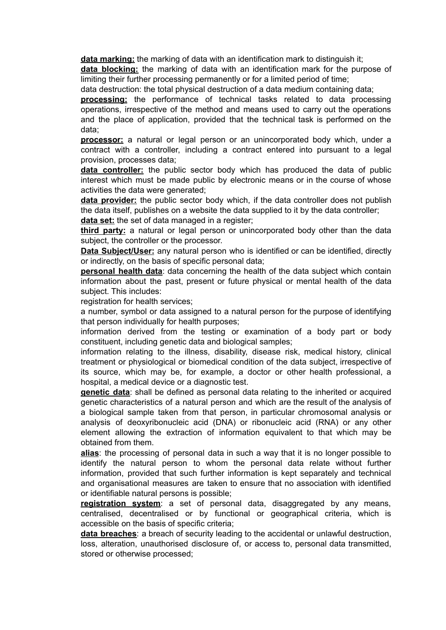**data marking:** the marking of data with an identification mark to distinguish it;

**data blocking:** the marking of data with an identification mark for the purpose of limiting their further processing permanently or for a limited period of time;

data destruction: the total physical destruction of a data medium containing data;

**processing:** the performance of technical tasks related to data processing operations, irrespective of the method and means used to carry out the operations and the place of application, provided that the technical task is performed on the data;

**processor:** a natural or legal person or an unincorporated body which, under a contract with a controller, including a contract entered into pursuant to a legal provision, processes data;

**data controller:** the public sector body which has produced the data of public interest which must be made public by electronic means or in the course of whose activities the data were generated;

**data provider:** the public sector body which, if the data controller does not publish the data itself, publishes on a website the data supplied to it by the data controller; **data set:** the set of data managed in a register;

**third party:** a natural or legal person or unincorporated body other than the data subject, the controller or the processor.

**Data Subject/User:** any natural person who is identified or can be identified, directly or indirectly, on the basis of specific personal data;

**personal health data**: data concerning the health of the data subject which contain information about the past, present or future physical or mental health of the data subject. This includes:

registration for health services;

a number, symbol or data assigned to a natural person for the purpose of identifying that person individually for health purposes;

information derived from the testing or examination of a body part or body constituent, including genetic data and biological samples;

information relating to the illness, disability, disease risk, medical history, clinical treatment or physiological or biomedical condition of the data subject, irrespective of its source, which may be, for example, a doctor or other health professional, a hospital, a medical device or a diagnostic test.

**genetic data**: shall be defined as personal data relating to the inherited or acquired genetic characteristics of a natural person and which are the result of the analysis of a biological sample taken from that person, in particular chromosomal analysis or analysis of deoxyribonucleic acid (DNA) or ribonucleic acid (RNA) or any other element allowing the extraction of information equivalent to that which may be obtained from them.

**alias**: the processing of personal data in such a way that it is no longer possible to identify the natural person to whom the personal data relate without further information, provided that such further information is kept separately and technical and organisational measures are taken to ensure that no association with identified or identifiable natural persons is possible;

**registration system**: a set of personal data, disaggregated by any means, centralised, decentralised or by functional or geographical criteria, which is accessible on the basis of specific criteria;

**data breaches**: a breach of security leading to the accidental or unlawful destruction, loss, alteration, unauthorised disclosure of, or access to, personal data transmitted, stored or otherwise processed;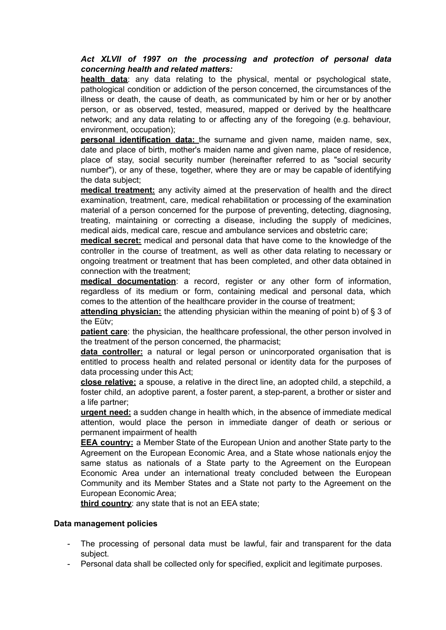# *Act XLVII of 1997 on the processing and protection of personal data concerning health and related matters:*

**health data**: any data relating to the physical, mental or psychological state, pathological condition or addiction of the person concerned, the circumstances of the illness or death, the cause of death, as communicated by him or her or by another person, or as observed, tested, measured, mapped or derived by the healthcare network; and any data relating to or affecting any of the foregoing (e.g. behaviour, environment, occupation);

**personal identification data:** the surname and given name, maiden name, sex, date and place of birth, mother's maiden name and given name, place of residence, place of stay, social security number (hereinafter referred to as "social security number"), or any of these, together, where they are or may be capable of identifying the data subject;

**medical treatment:** any activity aimed at the preservation of health and the direct examination, treatment, care, medical rehabilitation or processing of the examination material of a person concerned for the purpose of preventing, detecting, diagnosing, treating, maintaining or correcting a disease, including the supply of medicines, medical aids, medical care, rescue and ambulance services and obstetric care;

**medical secret:** medical and personal data that have come to the knowledge of the controller in the course of treatment, as well as other data relating to necessary or ongoing treatment or treatment that has been completed, and other data obtained in connection with the treatment;

**medical documentation**: a record, register or any other form of information, regardless of its medium or form, containing medical and personal data, which comes to the attention of the healthcare provider in the course of treatment;

**attending physician:** the attending physician within the meaning of point b) of § 3 of the Eütv;

**patient care**: the physician, the healthcare professional, the other person involved in the treatment of the person concerned, the pharmacist;

**data controller:** a natural or legal person or unincorporated organisation that is entitled to process health and related personal or identity data for the purposes of data processing under this Act;

**close relative:** a spouse, a relative in the direct line, an adopted child, a stepchild, a foster child, an adoptive parent, a foster parent, a step-parent, a brother or sister and a life partner;

**urgent need:** a sudden change in health which, in the absence of immediate medical attention, would place the person in immediate danger of death or serious or permanent impairment of health

**EEA country:** a Member State of the European Union and another State party to the Agreement on the European Economic Area, and a State whose nationals enjoy the same status as nationals of a State party to the Agreement on the European Economic Area under an international treaty concluded between the European Community and its Member States and a State not party to the Agreement on the European Economic Area;

**third country**: any state that is not an EEA state;

### **Data management policies**

- The processing of personal data must be lawful, fair and transparent for the data subject.
- Personal data shall be collected only for specified, explicit and legitimate purposes.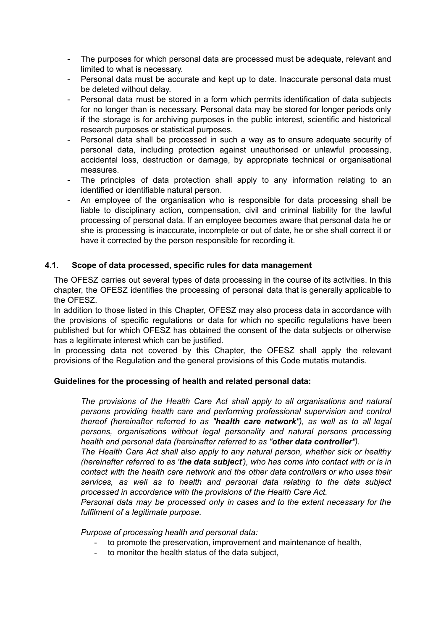- The purposes for which personal data are processed must be adequate, relevant and limited to what is necessary.
- Personal data must be accurate and kept up to date. Inaccurate personal data must be deleted without delay.
- Personal data must be stored in a form which permits identification of data subjects for no longer than is necessary. Personal data may be stored for longer periods only if the storage is for archiving purposes in the public interest, scientific and historical research purposes or statistical purposes.
- Personal data shall be processed in such a way as to ensure adequate security of personal data, including protection against unauthorised or unlawful processing, accidental loss, destruction or damage, by appropriate technical or organisational measures.
- The principles of data protection shall apply to any information relating to an identified or identifiable natural person.
- An employee of the organisation who is responsible for data processing shall be liable to disciplinary action, compensation, civil and criminal liability for the lawful processing of personal data. If an employee becomes aware that personal data he or she is processing is inaccurate, incomplete or out of date, he or she shall correct it or have it corrected by the person responsible for recording it.

# **4.1. Scope of data processed, specific rules for data management**

The OFESZ carries out several types of data processing in the course of its activities. In this chapter, the OFESZ identifies the processing of personal data that is generally applicable to the OFESZ.

In addition to those listed in this Chapter, OFESZ may also process data in accordance with the provisions of specific regulations or data for which no specific regulations have been published but for which OFESZ has obtained the consent of the data subjects or otherwise has a legitimate interest which can be justified.

In processing data not covered by this Chapter, the OFESZ shall apply the relevant provisions of the Regulation and the general provisions of this Code mutatis mutandis.

### **Guidelines for the processing of health and related personal data:**

*The provisions of the Health Care Act shall apply to all organisations and natural persons providing health care and performing professional supervision and control thereof (hereinafter referred to as "health care network"), as well as to all legal persons, organisations without legal personality and natural persons processing health and personal data (hereinafter referred to as "other data controller").*

*The Health Care Act shall also apply to any natural person, whether sick or healthy (hereinafter referred to as 'the data subject'), who has come into contact with or is in contact with the health care network and the other data controllers or who uses their services, as well as to health and personal data relating to the data subject processed in accordance with the provisions of the Health Care Act.*

*Personal data may be processed only in cases and to the extent necessary for the fulfilment of a legitimate purpose.*

*Purpose of processing health and personal data:*

- to promote the preservation, improvement and maintenance of health,
- to monitor the health status of the data subject.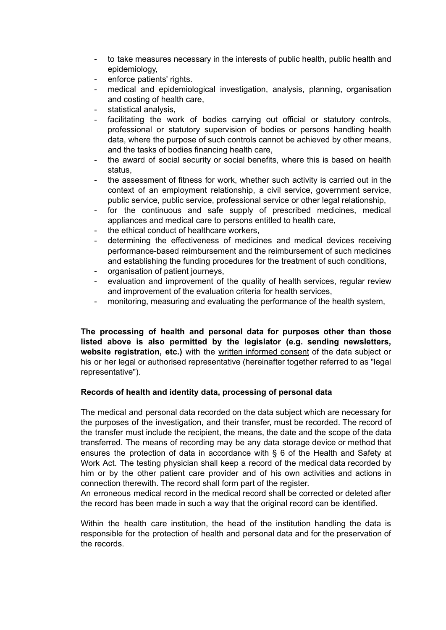- to take measures necessary in the interests of public health, public health and epidemiology,
- enforce patients' rights.
- medical and epidemiological investigation, analysis, planning, organisation and costing of health care,
- statistical analysis,
- facilitating the work of bodies carrying out official or statutory controls, professional or statutory supervision of bodies or persons handling health data, where the purpose of such controls cannot be achieved by other means, and the tasks of bodies financing health care,
- the award of social security or social benefits, where this is based on health status,
- the assessment of fitness for work, whether such activity is carried out in the context of an employment relationship, a civil service, government service, public service, public service, professional service or other legal relationship,
- for the continuous and safe supply of prescribed medicines, medical appliances and medical care to persons entitled to health care,
- the ethical conduct of healthcare workers,
- determining the effectiveness of medicines and medical devices receiving performance-based reimbursement and the reimbursement of such medicines and establishing the funding procedures for the treatment of such conditions,
- organisation of patient journeys,
- evaluation and improvement of the quality of health services, regular review and improvement of the evaluation criteria for health services,
- monitoring, measuring and evaluating the performance of the health system,

**The processing of health and personal data for purposes other than those listed above is also permitted by the legislator (e.g. sending newsletters, website registration, etc.)** with the written informed consent of the data subject or his or her legal or authorised representative (hereinafter together referred to as "legal representative").

### **Records of health and identity data, processing of personal data**

The medical and personal data recorded on the data subject which are necessary for the purposes of the investigation, and their transfer, must be recorded. The record of the transfer must include the recipient, the means, the date and the scope of the data transferred. The means of recording may be any data storage device or method that ensures the protection of data in accordance with § 6 of the Health and Safety at Work Act. The testing physician shall keep a record of the medical data recorded by him or by the other patient care provider and of his own activities and actions in connection therewith. The record shall form part of the register.

An erroneous medical record in the medical record shall be corrected or deleted after the record has been made in such a way that the original record can be identified.

Within the health care institution, the head of the institution handling the data is responsible for the protection of health and personal data and for the preservation of the records.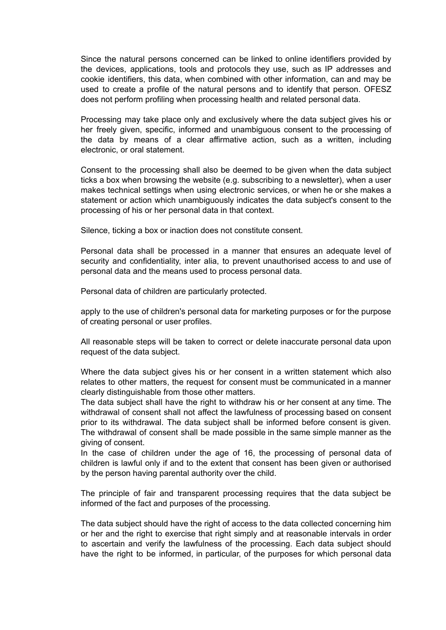Since the natural persons concerned can be linked to online identifiers provided by the devices, applications, tools and protocols they use, such as IP addresses and cookie identifiers, this data, when combined with other information, can and may be used to create a profile of the natural persons and to identify that person. OFESZ does not perform profiling when processing health and related personal data.

Processing may take place only and exclusively where the data subject gives his or her freely given, specific, informed and unambiguous consent to the processing of the data by means of a clear affirmative action, such as a written, including electronic, or oral statement.

Consent to the processing shall also be deemed to be given when the data subject ticks a box when browsing the website (e.g. subscribing to a newsletter), when a user makes technical settings when using electronic services, or when he or she makes a statement or action which unambiguously indicates the data subject's consent to the processing of his or her personal data in that context.

Silence, ticking a box or inaction does not constitute consent.

Personal data shall be processed in a manner that ensures an adequate level of security and confidentiality, inter alia, to prevent unauthorised access to and use of personal data and the means used to process personal data.

Personal data of children are particularly protected.

apply to the use of children's personal data for marketing purposes or for the purpose of creating personal or user profiles.

All reasonable steps will be taken to correct or delete inaccurate personal data upon request of the data subject.

Where the data subject gives his or her consent in a written statement which also relates to other matters, the request for consent must be communicated in a manner clearly distinguishable from those other matters.

The data subject shall have the right to withdraw his or her consent at any time. The withdrawal of consent shall not affect the lawfulness of processing based on consent prior to its withdrawal. The data subject shall be informed before consent is given. The withdrawal of consent shall be made possible in the same simple manner as the giving of consent.

In the case of children under the age of 16, the processing of personal data of children is lawful only if and to the extent that consent has been given or authorised by the person having parental authority over the child.

The principle of fair and transparent processing requires that the data subject be informed of the fact and purposes of the processing.

The data subject should have the right of access to the data collected concerning him or her and the right to exercise that right simply and at reasonable intervals in order to ascertain and verify the lawfulness of the processing. Each data subject should have the right to be informed, in particular, of the purposes for which personal data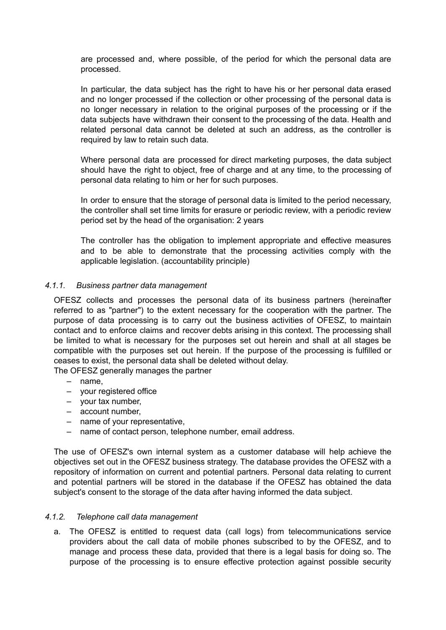are processed and, where possible, of the period for which the personal data are processed.

In particular, the data subject has the right to have his or her personal data erased and no longer processed if the collection or other processing of the personal data is no longer necessary in relation to the original purposes of the processing or if the data subjects have withdrawn their consent to the processing of the data. Health and related personal data cannot be deleted at such an address, as the controller is required by law to retain such data.

Where personal data are processed for direct marketing purposes, the data subject should have the right to object, free of charge and at any time, to the processing of personal data relating to him or her for such purposes.

In order to ensure that the storage of personal data is limited to the period necessary, the controller shall set time limits for erasure or periodic review, with a periodic review period set by the head of the organisation: 2 years

The controller has the obligation to implement appropriate and effective measures and to be able to demonstrate that the processing activities comply with the applicable legislation. (accountability principle)

#### *4.1.1. Business partner data management*

OFESZ collects and processes the personal data of its business partners (hereinafter referred to as "partner") to the extent necessary for the cooperation with the partner. The purpose of data processing is to carry out the business activities of OFESZ, to maintain contact and to enforce claims and recover debts arising in this context. The processing shall be limited to what is necessary for the purposes set out herein and shall at all stages be compatible with the purposes set out herein. If the purpose of the processing is fulfilled or ceases to exist, the personal data shall be deleted without delay.

The OFESZ generally manages the partner

- name,
- your registered office
- your tax number,
- account number,
- name of your representative,
- name of contact person, telephone number, email address.

The use of OFESZ's own internal system as a customer database will help achieve the objectives set out in the OFESZ business strategy. The database provides the OFESZ with a repository of information on current and potential partners. Personal data relating to current and potential partners will be stored in the database if the OFESZ has obtained the data subject's consent to the storage of the data after having informed the data subject.

#### *4.1.2. Telephone call data management*

a. The OFESZ is entitled to request data (call logs) from telecommunications service providers about the call data of mobile phones subscribed to by the OFESZ, and to manage and process these data, provided that there is a legal basis for doing so. The purpose of the processing is to ensure effective protection against possible security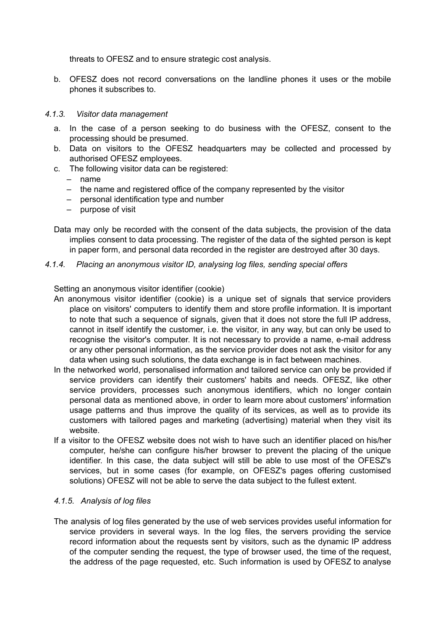threats to OFESZ and to ensure strategic cost analysis.

b. OFESZ does not record conversations on the landline phones it uses or the mobile phones it subscribes to.

#### *4.1.3. Visitor data management*

- a. In the case of a person seeking to do business with the OFESZ, consent to the processing should be presumed.
- b. Data on visitors to the OFESZ headquarters may be collected and processed by authorised OFESZ employees.
- c. The following visitor data can be registered:
	- name
	- the name and registered office of the company represented by the visitor
	- personal identification type and number
	- purpose of visit
- Data may only be recorded with the consent of the data subjects, the provision of the data implies consent to data processing. The register of the data of the sighted person is kept in paper form, and personal data recorded in the register are destroyed after 30 days.
- *4.1.4. Placing an anonymous visitor ID, analysing log files, sending special offers*

Setting an anonymous visitor identifier (cookie)

- An anonymous visitor identifier (cookie) is a unique set of signals that service providers place on visitors' computers to identify them and store profile information. It is important to note that such a sequence of signals, given that it does not store the full IP address, cannot in itself identify the customer, i.e. the visitor, in any way, but can only be used to recognise the visitor's computer. It is not necessary to provide a name, e-mail address or any other personal information, as the service provider does not ask the visitor for any data when using such solutions, the data exchange is in fact between machines.
- In the networked world, personalised information and tailored service can only be provided if service providers can identify their customers' habits and needs. OFESZ, like other service providers, processes such anonymous identifiers, which no longer contain personal data as mentioned above, in order to learn more about customers' information usage patterns and thus improve the quality of its services, as well as to provide its customers with tailored pages and marketing (advertising) material when they visit its website.
- If a visitor to the OFESZ website does not wish to have such an identifier placed on his/her computer, he/she can configure his/her browser to prevent the placing of the unique identifier. In this case, the data subject will still be able to use most of the OFESZ's services, but in some cases (for example, on OFESZ's pages offering customised solutions) OFESZ will not be able to serve the data subject to the fullest extent.

#### *4.1.5. Analysis of log files*

The analysis of log files generated by the use of web services provides useful information for service providers in several ways. In the log files, the servers providing the service record information about the requests sent by visitors, such as the dynamic IP address of the computer sending the request, the type of browser used, the time of the request, the address of the page requested, etc. Such information is used by OFESZ to analyse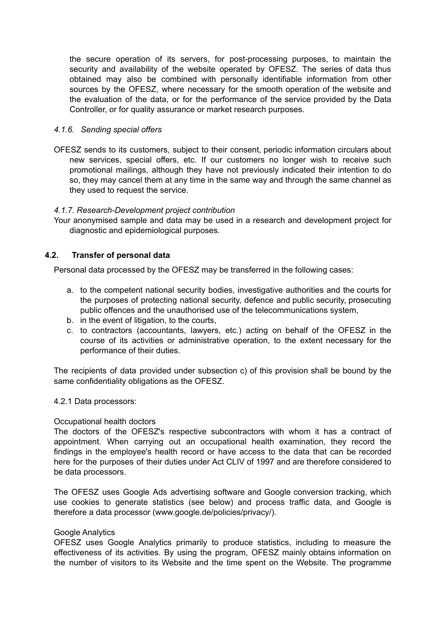the secure operation of its servers, for post-processing purposes, to maintain the security and availability of the website operated by OFESZ. The series of data thus obtained may also be combined with personally identifiable information from other sources by the OFESZ, where necessary for the smooth operation of the website and the evaluation of the data, or for the performance of the service provided by the Data Controller, or for quality assurance or market research purposes.

### *4.1.6. Sending special offers*

OFESZ sends to its customers, subject to their consent, periodic information circulars about new services, special offers, etc. If our customers no longer wish to receive such promotional mailings, although they have not previously indicated their intention to do so, they may cancel them at any time in the same way and through the same channel as they used to request the service.

#### *4.1.7. Research-Development project contribution*

Your anonymised sample and data may be used in a research and development project for diagnostic and epidemiological purposes.

### **4.2. Transfer of personal data**

Personal data processed by the OFESZ may be transferred in the following cases:

- a. to the competent national security bodies, investigative authorities and the courts for the purposes of protecting national security, defence and public security, prosecuting public offences and the unauthorised use of the telecommunications system,
- b. in the event of litigation, to the courts,
- c. to contractors (accountants, lawyers, etc.) acting on behalf of the OFESZ in the course of its activities or administrative operation, to the extent necessary for the performance of their duties.

The recipients of data provided under subsection c) of this provision shall be bound by the same confidentiality obligations as the OFESZ.

#### 4.2.1 Data processors:

#### Occupational health doctors

The doctors of the OFESZ's respective subcontractors with whom it has a contract of appointment. When carrying out an occupational health examination, they record the findings in the employee's health record or have access to the data that can be recorded here for the purposes of their duties under Act CLIV of 1997 and are therefore considered to be data processors.

The OFESZ uses Google Ads advertising software and Google conversion tracking, which use cookies to generate statistics (see below) and process traffic data, and Google is therefore a data processor (www.google.de/policies/privacy/).

#### Google Analytics

OFESZ uses Google Analytics primarily to produce statistics, including to measure the effectiveness of its activities. By using the program, OFESZ mainly obtains information on the number of visitors to its Website and the time spent on the Website. The programme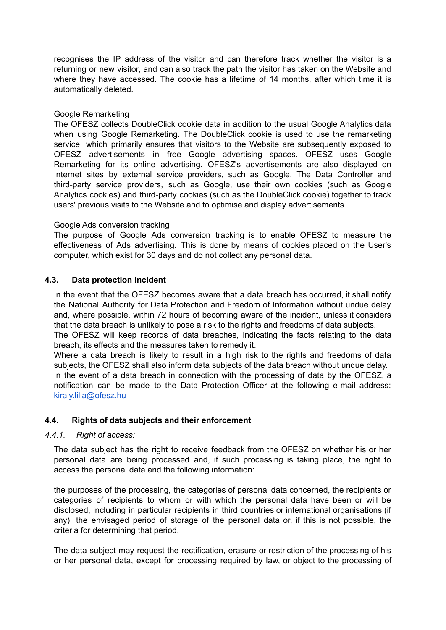recognises the IP address of the visitor and can therefore track whether the visitor is a returning or new visitor, and can also track the path the visitor has taken on the Website and where they have accessed. The cookie has a lifetime of 14 months, after which time it is automatically deleted.

### Google Remarketing

The OFESZ collects DoubleClick cookie data in addition to the usual Google Analytics data when using Google Remarketing. The DoubleClick cookie is used to use the remarketing service, which primarily ensures that visitors to the Website are subsequently exposed to OFESZ advertisements in free Google advertising spaces. OFESZ uses Google Remarketing for its online advertising. OFESZ's advertisements are also displayed on Internet sites by external service providers, such as Google. The Data Controller and third-party service providers, such as Google, use their own cookies (such as Google Analytics cookies) and third-party cookies (such as the DoubleClick cookie) together to track users' previous visits to the Website and to optimise and display advertisements.

#### Google Ads conversion tracking

The purpose of Google Ads conversion tracking is to enable OFESZ to measure the effectiveness of Ads advertising. This is done by means of cookies placed on the User's computer, which exist for 30 days and do not collect any personal data.

### **4.3. Data protection incident**

In the event that the OFESZ becomes aware that a data breach has occurred, it shall notify the National Authority for Data Protection and Freedom of Information without undue delay and, where possible, within 72 hours of becoming aware of the incident, unless it considers that the data breach is unlikely to pose a risk to the rights and freedoms of data subjects.

The OFESZ will keep records of data breaches, indicating the facts relating to the data breach, its effects and the measures taken to remedy it.

Where a data breach is likely to result in a high risk to the rights and freedoms of data subjects, the OFESZ shall also inform data subjects of the data breach without undue delay. In the event of a data breach in connection with the processing of data by the OFESZ, a notification can be made to the Data Protection Officer at the following e-mail address: [kiraly.lilla@ofesz.hu](mailto:kiraly.lilla@ofesz.hu)

### **4.4. Rights of data subjects and their enforcement**

#### *4.4.1. Right of access:*

The data subject has the right to receive feedback from the OFESZ on whether his or her personal data are being processed and, if such processing is taking place, the right to access the personal data and the following information:

the purposes of the processing, the categories of personal data concerned, the recipients or categories of recipients to whom or with which the personal data have been or will be disclosed, including in particular recipients in third countries or international organisations (if any); the envisaged period of storage of the personal data or, if this is not possible, the criteria for determining that period.

The data subject may request the rectification, erasure or restriction of the processing of his or her personal data, except for processing required by law, or object to the processing of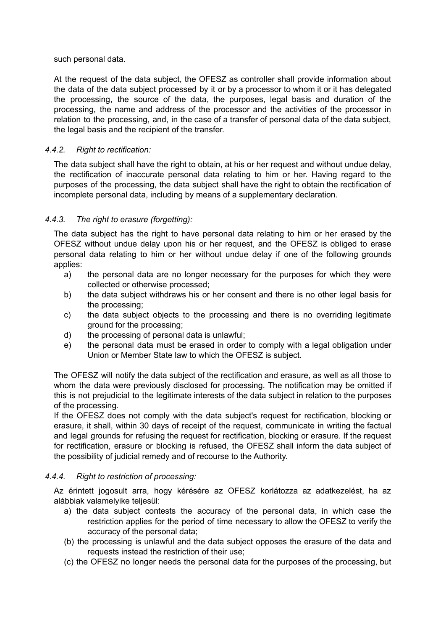such personal data.

At the request of the data subject, the OFESZ as controller shall provide information about the data of the data subject processed by it or by a processor to whom it or it has delegated the processing, the source of the data, the purposes, legal basis and duration of the processing, the name and address of the processor and the activities of the processor in relation to the processing, and, in the case of a transfer of personal data of the data subject, the legal basis and the recipient of the transfer.

## *4.4.2. Right to rectification:*

The data subject shall have the right to obtain, at his or her request and without undue delay, the rectification of inaccurate personal data relating to him or her. Having regard to the purposes of the processing, the data subject shall have the right to obtain the rectification of incomplete personal data, including by means of a supplementary declaration.

# *4.4.3. The right to erasure (forgetting):*

The data subject has the right to have personal data relating to him or her erased by the OFESZ without undue delay upon his or her request, and the OFESZ is obliged to erase personal data relating to him or her without undue delay if one of the following grounds applies:

- a) the personal data are no longer necessary for the purposes for which they were collected or otherwise processed;
- b) the data subject withdraws his or her consent and there is no other legal basis for the processing;
- c) the data subject objects to the processing and there is no overriding legitimate ground for the processing;
- d) the processing of personal data is unlawful;
- e) the personal data must be erased in order to comply with a legal obligation under Union or Member State law to which the OFESZ is subject.

The OFESZ will notify the data subject of the rectification and erasure, as well as all those to whom the data were previously disclosed for processing. The notification may be omitted if this is not prejudicial to the legitimate interests of the data subject in relation to the purposes of the processing.

If the OFESZ does not comply with the data subject's request for rectification, blocking or erasure, it shall, within 30 days of receipt of the request, communicate in writing the factual and legal grounds for refusing the request for rectification, blocking or erasure. If the request for rectification, erasure or blocking is refused, the OFESZ shall inform the data subject of the possibility of judicial remedy and of recourse to the Authority.

### *4.4.4. Right to restriction of processing:*

Az érintett jogosult arra, hogy kérésére az OFESZ korlátozza az adatkezelést, ha az alábbiak valamelyike teljesül:

- a) the data subject contests the accuracy of the personal data, in which case the restriction applies for the period of time necessary to allow the OFESZ to verify the accuracy of the personal data;
- (b) the processing is unlawful and the data subject opposes the erasure of the data and requests instead the restriction of their use;
- (c) the OFESZ no longer needs the personal data for the purposes of the processing, but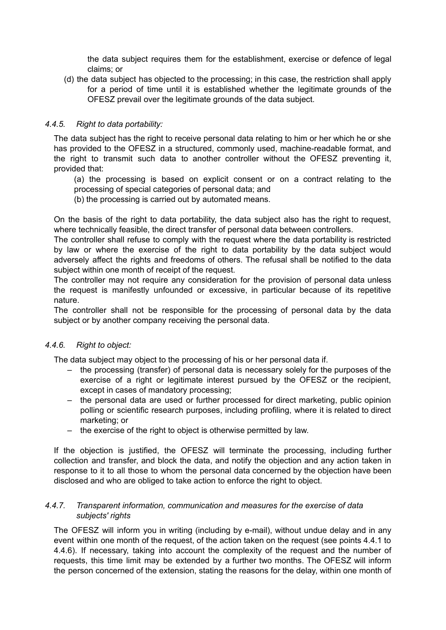the data subject requires them for the establishment, exercise or defence of legal claims; or

(d) the data subject has objected to the processing; in this case, the restriction shall apply for a period of time until it is established whether the legitimate grounds of the OFESZ prevail over the legitimate grounds of the data subject.

# *4.4.5. Right to data portability:*

The data subject has the right to receive personal data relating to him or her which he or she has provided to the OFESZ in a structured, commonly used, machine-readable format, and the right to transmit such data to another controller without the OFESZ preventing it, provided that:

(a) the processing is based on explicit consent or on a contract relating to the processing of special categories of personal data; and

(b) the processing is carried out by automated means.

On the basis of the right to data portability, the data subject also has the right to request, where technically feasible, the direct transfer of personal data between controllers.

The controller shall refuse to comply with the request where the data portability is restricted by law or where the exercise of the right to data portability by the data subject would adversely affect the rights and freedoms of others. The refusal shall be notified to the data subject within one month of receipt of the request.

The controller may not require any consideration for the provision of personal data unless the request is manifestly unfounded or excessive, in particular because of its repetitive nature.

The controller shall not be responsible for the processing of personal data by the data subject or by another company receiving the personal data.

### *4.4.6. Right to object:*

The data subject may object to the processing of his or her personal data if.

- the processing (transfer) of personal data is necessary solely for the purposes of the exercise of a right or legitimate interest pursued by the OFESZ or the recipient, except in cases of mandatory processing;
- the personal data are used or further processed for direct marketing, public opinion polling or scientific research purposes, including profiling, where it is related to direct marketing; or
- the exercise of the right to object is otherwise permitted by law.

If the objection is justified, the OFESZ will terminate the processing, including further collection and transfer, and block the data, and notify the objection and any action taken in response to it to all those to whom the personal data concerned by the objection have been disclosed and who are obliged to take action to enforce the right to object.

### *4.4.7. Transparent information, communication and measures for the exercise of data subjects' rights*

The OFESZ will inform you in writing (including by e-mail), without undue delay and in any event within one month of the request, of the action taken on the request (see points 4.4.1 to 4.4.6). If necessary, taking into account the complexity of the request and the number of requests, this time limit may be extended by a further two months. The OFESZ will inform the person concerned of the extension, stating the reasons for the delay, within one month of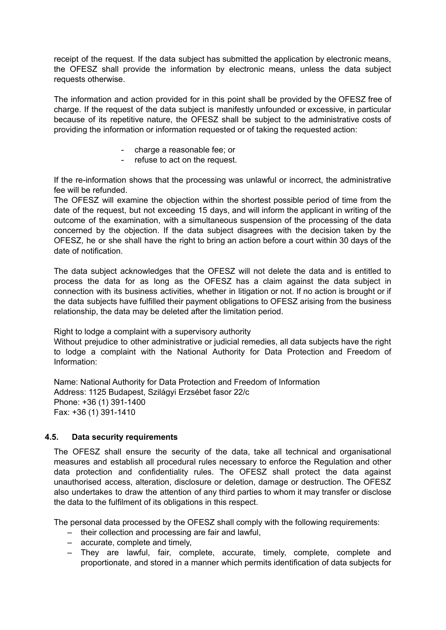receipt of the request. If the data subject has submitted the application by electronic means, the OFESZ shall provide the information by electronic means, unless the data subject requests otherwise.

The information and action provided for in this point shall be provided by the OFESZ free of charge. If the request of the data subject is manifestly unfounded or excessive, in particular because of its repetitive nature, the OFESZ shall be subject to the administrative costs of providing the information or information requested or of taking the requested action:

- charge a reasonable fee; or
- refuse to act on the request.

If the re-information shows that the processing was unlawful or incorrect, the administrative fee will be refunded.

The OFESZ will examine the objection within the shortest possible period of time from the date of the request, but not exceeding 15 days, and will inform the applicant in writing of the outcome of the examination, with a simultaneous suspension of the processing of the data concerned by the objection. If the data subject disagrees with the decision taken by the OFESZ, he or she shall have the right to bring an action before a court within 30 days of the date of notification.

The data subject acknowledges that the OFESZ will not delete the data and is entitled to process the data for as long as the OFESZ has a claim against the data subject in connection with its business activities, whether in litigation or not. If no action is brought or if the data subjects have fulfilled their payment obligations to OFESZ arising from the business relationship, the data may be deleted after the limitation period.

Right to lodge a complaint with a supervisory authority

Without prejudice to other administrative or judicial remedies, all data subjects have the right to lodge a complaint with the National Authority for Data Protection and Freedom of Information:

Name: National Authority for Data Protection and Freedom of Information Address: 1125 Budapest, Szilágyi Erzsébet fasor 22/c Phone: +36 (1) 391-1400 Fax: +36 (1) 391-1410

### **4.5. Data security requirements**

The OFESZ shall ensure the security of the data, take all technical and organisational measures and establish all procedural rules necessary to enforce the Regulation and other data protection and confidentiality rules. The OFESZ shall protect the data against unauthorised access, alteration, disclosure or deletion, damage or destruction. The OFESZ also undertakes to draw the attention of any third parties to whom it may transfer or disclose the data to the fulfilment of its obligations in this respect.

The personal data processed by the OFESZ shall comply with the following requirements:

- their collection and processing are fair and lawful,
- accurate, complete and timely,
- They are lawful, fair, complete, accurate, timely, complete, complete and proportionate, and stored in a manner which permits identification of data subjects for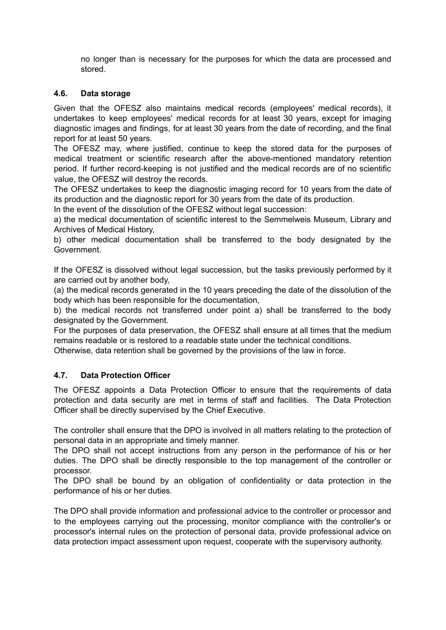no longer than is necessary for the purposes for which the data are processed and stored.

# **4.6. Data storage**

Given that the OFESZ also maintains medical records (employees' medical records), it undertakes to keep employees' medical records for at least 30 years, except for imaging diagnostic images and findings, for at least 30 years from the date of recording, and the final report for at least 50 years.

The OFESZ may, where justified, continue to keep the stored data for the purposes of medical treatment or scientific research after the above-mentioned mandatory retention period. If further record-keeping is not justified and the medical records are of no scientific value, the OFESZ will destroy the records.

The OFESZ undertakes to keep the diagnostic imaging record for 10 years from the date of its production and the diagnostic report for 30 years from the date of its production.

In the event of the dissolution of the OFESZ without legal succession:

a) the medical documentation of scientific interest to the Semmelweis Museum, Library and Archives of Medical History,

b) other medical documentation shall be transferred to the body designated by the Government.

If the OFESZ is dissolved without legal succession, but the tasks previously performed by it are carried out by another body,

(a) the medical records generated in the 10 years preceding the date of the dissolution of the body which has been responsible for the documentation,

b) the medical records not transferred under point a) shall be transferred to the body designated by the Government.

For the purposes of data preservation, the OFESZ shall ensure at all times that the medium remains readable or is restored to a readable state under the technical conditions.

Otherwise, data retention shall be governed by the provisions of the law in force.

# **4.7. Data Protection Officer**

The OFESZ appoints a Data Protection Officer to ensure that the requirements of data protection and data security are met in terms of staff and facilities. The Data Protection Officer shall be directly supervised by the Chief Executive.

The controller shall ensure that the DPO is involved in all matters relating to the protection of personal data in an appropriate and timely manner.

The DPO shall not accept instructions from any person in the performance of his or her duties. The DPO shall be directly responsible to the top management of the controller or processor.

The DPO shall be bound by an obligation of confidentiality or data protection in the performance of his or her duties.

The DPO shall provide information and professional advice to the controller or processor and to the employees carrying out the processing, monitor compliance with the controller's or processor's internal rules on the protection of personal data, provide professional advice on data protection impact assessment upon request, cooperate with the supervisory authority.